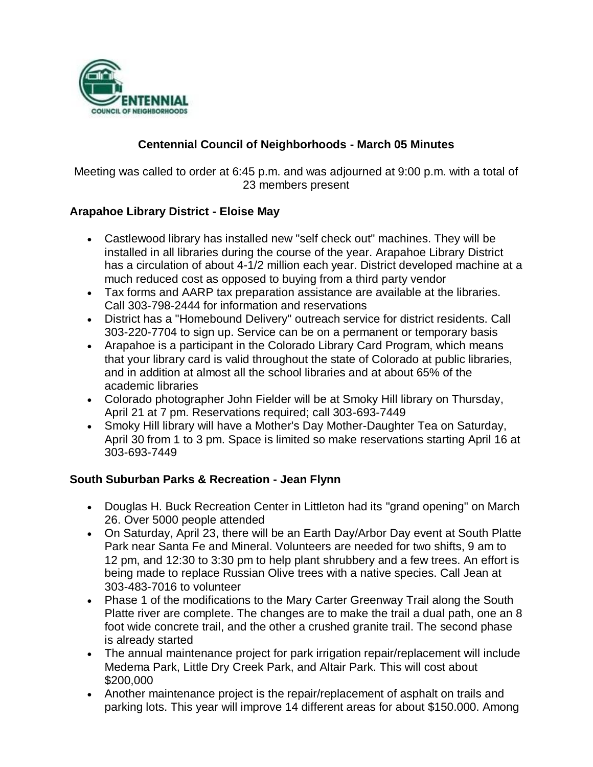

### **Centennial Council of Neighborhoods - March 05 Minutes**

Meeting was called to order at 6:45 p.m. and was adjourned at 9:00 p.m. with a total of 23 members present

### **Arapahoe Library District - Eloise May**

- Castlewood library has installed new "self check out" machines. They will be installed in all libraries during the course of the year. Arapahoe Library District has a circulation of about 4-1/2 million each year. District developed machine at a much reduced cost as opposed to buying from a third party vendor
- Tax forms and AARP tax preparation assistance are available at the libraries. Call 303-798-2444 for information and reservations
- District has a "Homebound Delivery" outreach service for district residents. Call 303-220-7704 to sign up. Service can be on a permanent or temporary basis
- Arapahoe is a participant in the Colorado Library Card Program, which means that your library card is valid throughout the state of Colorado at public libraries, and in addition at almost all the school libraries and at about 65% of the academic libraries
- Colorado photographer John Fielder will be at Smoky Hill library on Thursday, April 21 at 7 pm. Reservations required; call 303-693-7449
- Smoky Hill library will have a Mother's Day Mother-Daughter Tea on Saturday, April 30 from 1 to 3 pm. Space is limited so make reservations starting April 16 at 303-693-7449

### **South Suburban Parks & Recreation - Jean Flynn**

- Douglas H. Buck Recreation Center in Littleton had its "grand opening" on March 26. Over 5000 people attended
- On Saturday, April 23, there will be an Earth Day/Arbor Day event at South Platte Park near Santa Fe and Mineral. Volunteers are needed for two shifts, 9 am to 12 pm, and 12:30 to 3:30 pm to help plant shrubbery and a few trees. An effort is being made to replace Russian Olive trees with a native species. Call Jean at 303-483-7016 to volunteer
- Phase 1 of the modifications to the Mary Carter Greenway Trail along the South Platte river are complete. The changes are to make the trail a dual path, one an 8 foot wide concrete trail, and the other a crushed granite trail. The second phase is already started
- The annual maintenance project for park irrigation repair/replacement will include Medema Park, Little Dry Creek Park, and Altair Park. This will cost about \$200,000
- Another maintenance project is the repair/replacement of asphalt on trails and parking lots. This year will improve 14 different areas for about \$150.000. Among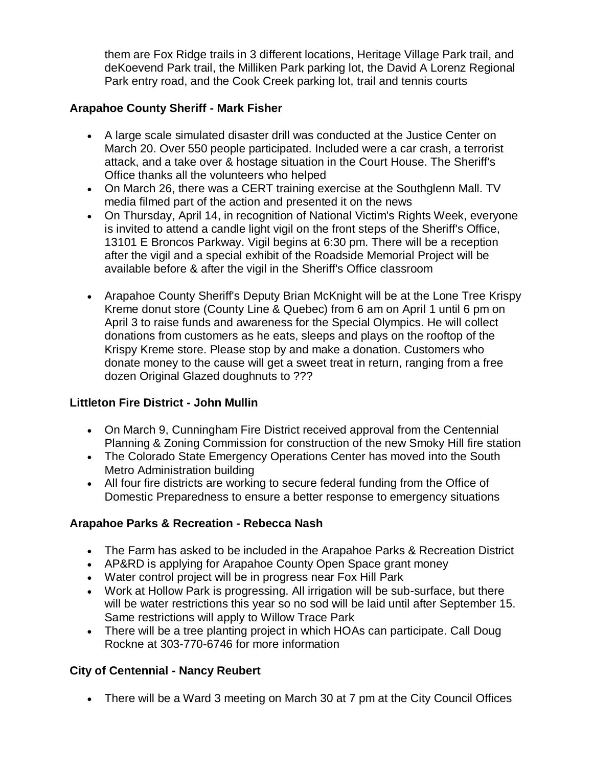them are Fox Ridge trails in 3 different locations, Heritage Village Park trail, and deKoevend Park trail, the Milliken Park parking lot, the David A Lorenz Regional Park entry road, and the Cook Creek parking lot, trail and tennis courts

### **Arapahoe County Sheriff - Mark Fisher**

- A large scale simulated disaster drill was conducted at the Justice Center on March 20. Over 550 people participated. Included were a car crash, a terrorist attack, and a take over & hostage situation in the Court House. The Sheriff's Office thanks all the volunteers who helped
- On March 26, there was a CERT training exercise at the Southglenn Mall. TV media filmed part of the action and presented it on the news
- On Thursday, April 14, in recognition of National Victim's Rights Week, everyone is invited to attend a candle light vigil on the front steps of the Sheriff's Office, 13101 E Broncos Parkway. Vigil begins at 6:30 pm. There will be a reception after the vigil and a special exhibit of the Roadside Memorial Project will be available before & after the vigil in the Sheriff's Office classroom
- Arapahoe County Sheriff's Deputy Brian McKnight will be at the Lone Tree Krispy Kreme donut store (County Line & Quebec) from 6 am on April 1 until 6 pm on April 3 to raise funds and awareness for the Special Olympics. He will collect donations from customers as he eats, sleeps and plays on the rooftop of the Krispy Kreme store. Please stop by and make a donation. Customers who donate money to the cause will get a sweet treat in return, ranging from a free dozen Original Glazed doughnuts to ???

### **Littleton Fire District - John Mullin**

- On March 9, Cunningham Fire District received approval from the Centennial Planning & Zoning Commission for construction of the new Smoky Hill fire station
- The Colorado State Emergency Operations Center has moved into the South Metro Administration building
- All four fire districts are working to secure federal funding from the Office of Domestic Preparedness to ensure a better response to emergency situations

# **Arapahoe Parks & Recreation - Rebecca Nash**

- The Farm has asked to be included in the Arapahoe Parks & Recreation District
- AP&RD is applying for Arapahoe County Open Space grant money
- Water control project will be in progress near Fox Hill Park
- Work at Hollow Park is progressing. All irrigation will be sub-surface, but there will be water restrictions this year so no sod will be laid until after September 15. Same restrictions will apply to Willow Trace Park
- There will be a tree planting project in which HOAs can participate. Call Doug Rockne at 303-770-6746 for more information

# **City of Centennial - Nancy Reubert**

There will be a Ward 3 meeting on March 30 at 7 pm at the City Council Offices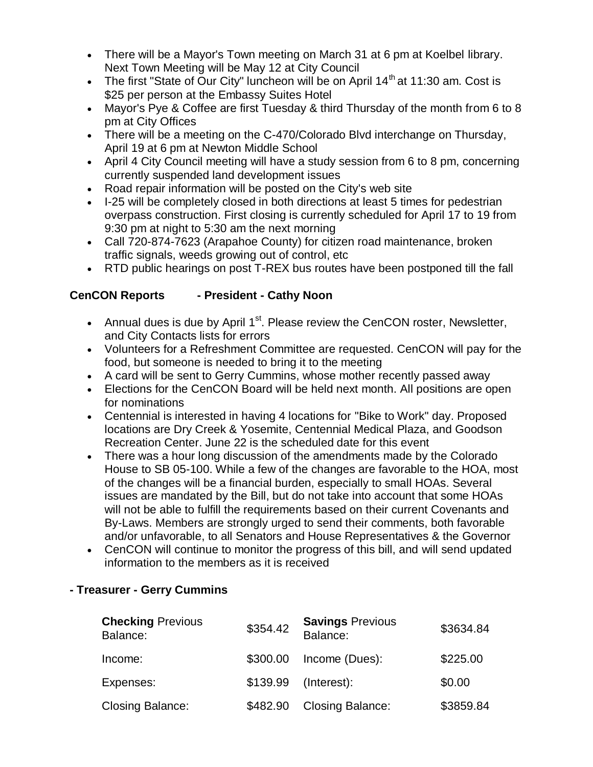- There will be a Mayor's Town meeting on March 31 at 6 pm at Koelbel library. Next Town Meeting will be May 12 at City Council
- The first "State of Our City" luncheon will be on April  $14<sup>th</sup>$  at 11:30 am. Cost is \$25 per person at the Embassy Suites Hotel
- Mayor's Pye & Coffee are first Tuesday & third Thursday of the month from 6 to 8 pm at City Offices
- There will be a meeting on the C-470/Colorado Blvd interchange on Thursday, April 19 at 6 pm at Newton Middle School
- April 4 City Council meeting will have a study session from 6 to 8 pm, concerning currently suspended land development issues
- Road repair information will be posted on the City's web site
- I-25 will be completely closed in both directions at least 5 times for pedestrian overpass construction. First closing is currently scheduled for April 17 to 19 from 9:30 pm at night to 5:30 am the next morning
- Call 720-874-7623 (Arapahoe County) for citizen road maintenance, broken traffic signals, weeds growing out of control, etc
- RTD public hearings on post T-REX bus routes have been postponed till the fall

# **CenCON Reports - President - Cathy Noon**

- Annual dues is due by April  $1<sup>st</sup>$ . Please review the CenCON roster, Newsletter, and City Contacts lists for errors
- Volunteers for a Refreshment Committee are requested. CenCON will pay for the food, but someone is needed to bring it to the meeting
- A card will be sent to Gerry Cummins, whose mother recently passed away
- Elections for the CenCON Board will be held next month. All positions are open for nominations
- Centennial is interested in having 4 locations for "Bike to Work" day. Proposed locations are Dry Creek & Yosemite, Centennial Medical Plaza, and Goodson Recreation Center. June 22 is the scheduled date for this event
- There was a hour long discussion of the amendments made by the Colorado House to SB 05-100. While a few of the changes are favorable to the HOA, most of the changes will be a financial burden, especially to small HOAs. Several issues are mandated by the Bill, but do not take into account that some HOAs will not be able to fulfill the requirements based on their current Covenants and By-Laws. Members are strongly urged to send their comments, both favorable and/or unfavorable, to all Senators and House Representatives & the Governor
- CenCON will continue to monitor the progress of this bill, and will send updated information to the members as it is received

# **- Treasurer - Gerry Cummins**

| <b>Checking Previous</b><br>Balance: | \$354.42 | <b>Savings Previous</b><br>Balance: | \$3634.84 |
|--------------------------------------|----------|-------------------------------------|-----------|
| Income:                              | \$300.00 | Income (Dues):                      | \$225.00  |
| Expenses:                            | \$139.99 | (Interest):                         | \$0.00    |
| <b>Closing Balance:</b>              | \$482.90 | <b>Closing Balance:</b>             | \$3859.84 |